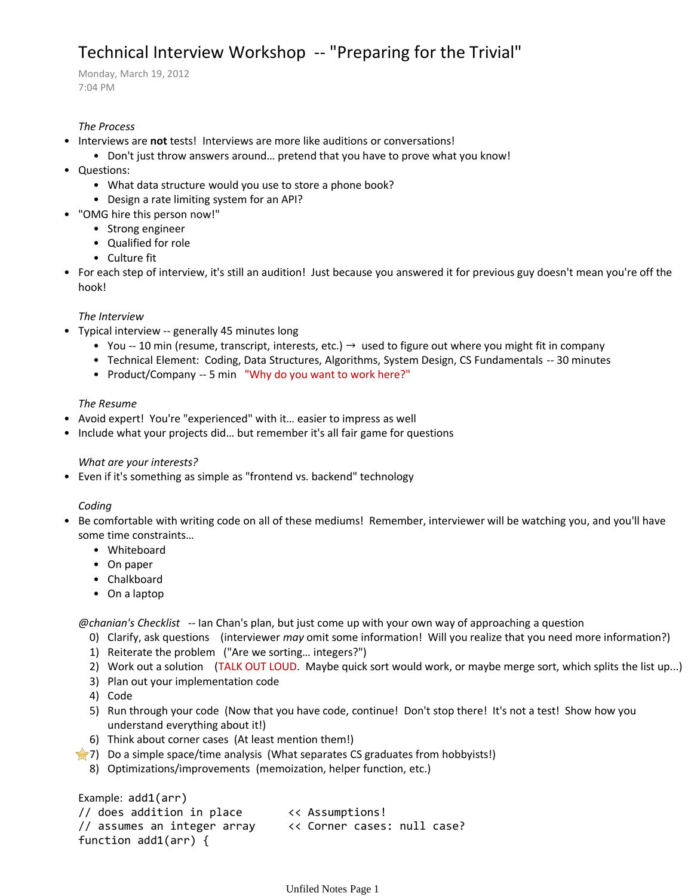# Technical Interview Workshop -- "Preparing for the Trivial"

Monday, March 19, 2012 7:04 PM

# *The Process*

- Interviews are **not** tests! Interviews are more like auditions or conversations!
	- Don't just throw answers around… pretend that you have to prove what you know!
- Questions:
	- What data structure would you use to store a phone book?
	- Design a rate limiting system for an API?
- "OMG hire this person now!"
	- Strong engineer
	- Qualified for role
	- Culture fit
- For each step of interview, it's still an audition! Just because you answered it for previous guy doesn't mean you're off the hook!

# *The Interview*

- Typical interview -- generally 45 minutes long
	- You -- 10 min (resume, transcript, interests, etc.)  $\rightarrow$  used to figure out where you might fit in company
	- Technical Element: Coding, Data Structures, Algorithms, System Design, CS Fundamentals -- 30 minutes
	- Product/Company -- 5 min "Why do you want to work here?"

#### *The Resume*

- Avoid expert! You're "experienced" with it… easier to impress as well
- Include what your projects did... but remember it's all fair game for questions

#### *What are your interests?*

• Even if it's something as simple as "frontend vs. backend" technology

#### *Coding*

- Be comfortable with writing code on all of these mediums! Remember, interviewer will be watching you, and you'll have some time constraints…
	- Whiteboard
	- On paper
	- Chalkboard
	- On a laptop

*@chanian's Checklist* -- Ian Chan's plan, but just come up with your own way of approaching a question

- 0) Clarify, ask questions (interviewer *may* omit some information! Will you realize that you need more information?)
- 1) Reiterate the problem ("Are we sorting… integers?")
- 2) Work out a solution (TALK OUT LOUD. Maybe quick sort would work, or maybe merge sort, which splits the list up...)
- 3) Plan out your implementation code
- 4) Code
- 5) Run through your code (Now that you have code, continue! Don't stop there! It's not a test! Show how you understand everything about it!)
- 6) Think about corner cases (At least mention them!)
- 7) Do a simple space/time analysis (What separates CS graduates from hobbyists!)
	- 8) Optimizations/improvements (memoization, helper function, etc.)

Example: add1(arr) // does addition in place << Assumptions! // assumes an integer array << Corner cases: null case? function add1(arr) {